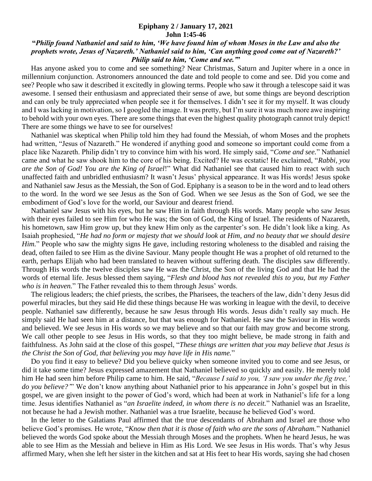## **Epiphany 2 / January 17, 2021 John 1:45-46**

## **"***Philip found Nathaniel and said to him, 'We have found him of whom Moses in the Law and also the prophets wrote, Jesus of Nazareth.' Nathaniel said to him, 'Can anything good come out of Nazareth?' Philip said to him, 'Come and see.'***"**

 Has anyone asked you to come and see something? Near Christmas, Saturn and Jupiter where in a once in millennium conjunction. Astronomers announced the date and told people to come and see. Did you come and see? People who saw it described it excitedly in glowing terms. People who saw it through a telescope said it was awesome. I sensed their enthusiasm and appreciated their sense of awe, but some things are beyond description and can only be truly appreciated when people see it for themselves. I didn't see it for my myself. It was cloudy and I was lacking in motivation, so I googled the image. It was pretty, but I'm sure it was much more awe inspiring to behold with your own eyes. There are some things that even the highest quality photograph cannot truly depict! There are some things we have to see for ourselves!

 Nathaniel was skeptical when Philip told him they had found the Messiah, of whom Moses and the prophets had written, "Jesus of Nazareth." He wondered if anything good and someone so important could come from a place like Nazareth. Philip didn't try to convince him with his word. He simply said, "*Come and see.*" Nathaniel came and what he saw shook him to the core of his being. Excited? He was ecstatic! He exclaimed, "*Rabbi, you are the Son of God! You are the King of Israel*!" What did Nathaniel see that caused him to react with such unaffected faith and unbridled enthusiasm? It wasn't Jesus' physical appearance. It was His words! Jesus spoke and Nathaniel saw Jesus as the Messiah, the Son of God. Epiphany is a season to be in the word and to lead others to the word. In the word we see Jesus as the Son of God. When we see Jesus as the Son of God, we see the embodiment of God's love for the world, our Saviour and dearest friend.

 Nathaniel saw Jesus with his eyes, but he saw Him in faith through His words. Many people who saw Jesus with their eyes failed to see Him for who He was; the Son of God, the King of Israel. The residents of Nazareth, his hometown, saw Him grow up, but they knew Him only as the carpenter's son. He didn't look like a king. As Isaiah prophesied, "*He had no form or majesty that we should look at Him, and no beauty that we should desire Him.*" People who saw the mighty signs He gave, including restoring wholeness to the disabled and raising the dead, often failed to see Him as the divine Saviour. Many people thought He was a prophet of old returned to the earth, perhaps Elijah who had been translated to heaven without suffering death. The disciples saw differently. Through His words the twelve disciples saw He was the Christ, the Son of the living God and that He had the words of eternal life. Jesus blessed them saying, "*Flesh and blood has not revealed this to you, but my Father who is in heaven.*" The Father revealed this to them through Jesus' words.

 The religious leaders; the chief priests, the scribes, the Pharisees, the teachers of the law, didn't deny Jesus did powerful miracles, but they said He did these things because He was working in league with the devil, to deceive people. Nathaniel saw differently, because he saw Jesus through His words. Jesus didn't really say much. He simply said He had seen him at a distance, but that was enough for Nathaniel. He saw the Saviour in His words and believed. We see Jesus in His words so we may believe and so that our faith may grow and become strong. We call other people to see Jesus in His words, so that they too might believe, be made strong in faith and faithfulness. As John said at the close of this gospel, "*These things are written that you may believe that Jesus is the Christ the Son of God, that believing you may have life in His name.*"

 Do you find it easy to believe? Did you believe quicky when someone invited you to come and see Jesus, or did it take some time? Jesus expressed amazement that Nathaniel believed so quickly and easily. He merely told him He had seen him before Philip came to him. He said, "*Because I said to you, 'I saw you under the fig tree,' do you believe?'*" We don't know anything about Nathaniel prior to his appearance in John's gospel but in this gospel, we are given insight to the power of God's word, which had been at work in Nathaniel's life for a long time. Jesus identifies Nathaniel as "*an Israelite indeed, in whom there is no deceit.*" Nathaniel was an Israelite, not because he had a Jewish mother. Nathaniel was a true Israelite, because he believed God's word.

 In the letter to the Galatians Paul affirmed that the true descendants of Abraham and Israel are those who believe God's promises. He wrote, "*Know then that it is those of faith who are the sons of Abraham.*" Nathaniel believed the words God spoke about the Messiah through Moses and the prophets. When he heard Jesus, he was able to see Him as the Messiah and believe in Him as His Lord. We see Jesus in His words. That's why Jesus affirmed Mary, when she left her sister in the kitchen and sat at His feet to hear His words, saying she had chosen